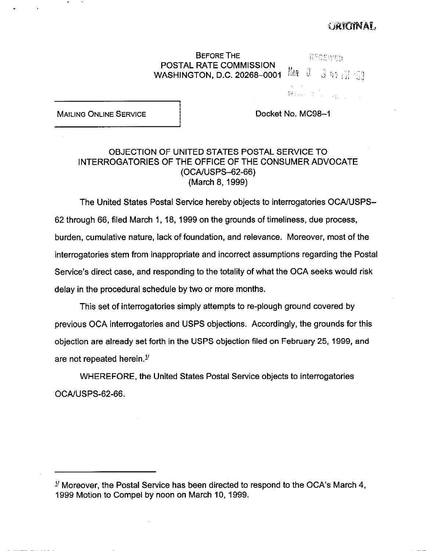# **EACHTMAL**

**BEFORE THE last and all in the light of the light of the light of the light of the light of the light of the li** POSTAL RATE COMMISSION WASHINGTON, D.C. 20268-0001  $\lim_{n \to \infty} \frac{3}{3}$ 

 $\texttt{GF}_{\texttt{F}}(\omega_{\texttt{F}},\tau_{\texttt{F}},\tau_{\texttt{F}},\tau_{\texttt{F}},\tau_{\texttt{F}})$ 

MAILING ONLINE SERVICE **I** i Docket No. MC98-1

.

.

## OBJECTION OF UNITED STATES POSTAL SERVICE TO INTERROGATORIES OF THE OFFICE OF THE CONSUMER ADVOCATE (OCA/USPS-62-66) (March 8, 1999)

i<br>İ

 $\mathbf{L}$ 

The United States Postal Service hereby objects to interrogatories OCA/USPS-62 through 66, filed March 1, 18, 1999 on the grounds of timeliness, due process, burden, cumulative nature, lack of foundation, and relevance. Moreover, most of the interrogatories stem from inappropriate and incorrect assumptions regarding the Postal Service's direct case, and responding to the totality of what the OCA seeks would risk delay in the procedural schedule by two or more months.

This set of interrogatories simply attempts to re-plough ground covered by previous OCA interrogatories and USPS objections. Accordingly, the grounds for this objection are already set forth in the USPS objection filed on February 25, 1999, and are not repeated herein. $1/2$ 

WHEREFORE, the United States Postal Service objects to interrogatories OCAJUSPS-62-66.

 $1/$  Moreover, the Postal Service has been directed to respond to the OCA's March 4, 1999 Motion to Compel by noon on March 10, 1999.